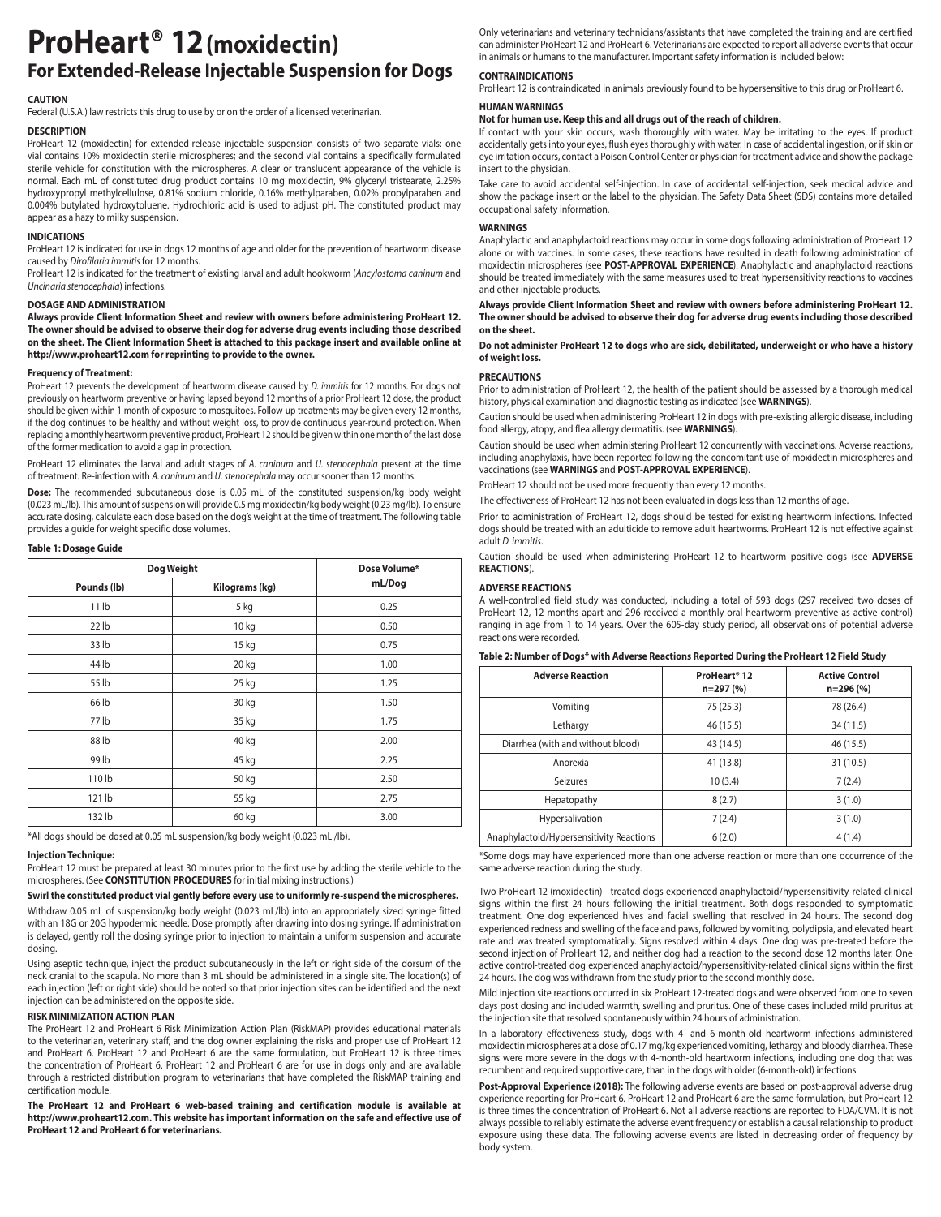# **ProHeart® 12(moxidectin) For Extended-Release Injectable Suspension for Dogs**

### **CAUTION**

Federal (U.S.A.) law restricts this drug to use by or on the order of a licensed veterinarian.

### **DESCRIPTION**

ProHeart 12 (moxidectin) for extended-release injectable suspension consists of two separate vials: one vial contains 10% moxidectin sterile microspheres; and the second vial contains a specifically formulated sterile vehicle for constitution with the microspheres. A clear or translucent appearance of the vehicle is normal. Each mL of constituted drug product contains 10 mg moxidectin, 9% glyceryl tristearate, 2.25% hydroxypropyl methylcellulose, 0.81% sodium chloride, 0.16% methylparaben, 0.02% propylparaben and 0.004% butylated hydroxytoluene. Hydrochloric acid is used to adjust pH. The constituted product may appear as a hazy to milky suspension.

### **INDICATIONS**

ProHeart 12 is indicated for use in dogs 12 months of age and older for the prevention of heartworm disease caused by *Dirofilaria immitis* for 12 months.

ProHeart 12 is indicated for the treatment of existing larval and adult hookworm (*Ancylostoma caninum* and *Uncinaria stenocephala*) infections.

### **DOSAGE AND ADMINISTRATION**

**Always provide Client Information Sheet and review with owners before administering ProHeart 12. The owner should be advised to observe their dog for adverse drug events including those described on the sheet. The Client Information Sheet is attached to this package insert and available online at http://www.proheart12.com for reprinting to provide to the owner.**

### **Frequency of Treatment:**

ProHeart 12 prevents the development of heartworm disease caused by *D. immitis* for 12 months. For dogs not previously on heartworm preventive or having lapsed beyond 12 months of a prior ProHeart 12 dose, the product should be given within 1 month of exposure to mosquitoes. Follow-up treatments may be given every 12 months, if the dog continues to be healthy and without weight loss, to provide continuous year-round protection. When replacing a monthly heartworm preventive product, ProHeart 12 should be given within one month of the last dose of the former medication to avoid a gap in protection.

ProHeart 12 eliminates the larval and adult stages of *A. caninum* and *U. stenocephala* present at the time of treatment. Re-infection with *A. caninum* and *U. stenocephala* may occur sooner than 12 months.

**Dose:** The recommended subcutaneous dose is 0.05 mL of the constituted suspension/kg body weight (0.023 mL/lb). This amount of suspension will provide 0.5 mg moxidectin/kg body weight (0.23 mg/lb). To ensure accurate dosing, calculate each dose based on the dog's weight at the time of treatment. The following table provides a guide for weight specific dose volumes.

### **Table 1: Dosage Guide**

| Dog Weight       |                | Dose Volume* |
|------------------|----------------|--------------|
| Pounds (lb)      | Kilograms (kg) | mL/Dog       |
| 11 <sub>lb</sub> | 5 kg           | 0.25         |
| $22$ lb          | 10 kg          | 0.50         |
| 33 lb            | 15 kg          | 0.75         |
| 44 lb            | 20 kg          | 1.00         |
| 55 lb            | 25 kg          | 1.25         |
| 66 lb            | 30 kg          | 1.50         |
| 77 lb            | 35 kg          | 1.75         |
| 88 lb            | 40 kg          | 2.00         |
| 99 lb            | 45 kg          | 2.25         |
| 110 lb           | 50 kg          | 2.50         |
| 121 lb           | 55 kg          | 2.75         |
| 132 lb           | 60 kg          | 3.00         |

\*All dogs should be dosed at 0.05 mL suspension/kg body weight (0.023 mL /lb).

#### **Injection Technique:**

ProHeart 12 must be prepared at least 30 minutes prior to the first use by adding the sterile vehicle to the microspheres. (See **CONSTITUTION PROCEDURES** for initial mixing instructions.)

### **Swirl the constituted product vial gently before every use to uniformly re-suspend the microspheres.**

Withdraw 0.05 mL of suspension/kg body weight (0.023 mL/lb) into an appropriately sized syringe fitted with an 18G or 20G hypodermic needle. Dose promptly after drawing into dosing syringe. If administration is delayed, gently roll the dosing syringe prior to injection to maintain a uniform suspension and accurate dosing.

Using aseptic technique, inject the product subcutaneously in the left or right side of the dorsum of the neck cranial to the scapula. No more than 3 mL should be administered in a single site. The location(s) of each injection (left or right side) should be noted so that prior injection sites can be identified and the next injection can be administered on the opposite side.

### **RISK MINIMIZATION ACTION PLAN**

The ProHeart 12 and ProHeart 6 Risk Minimization Action Plan (RiskMAP) provides educational materials to the veterinarian, veterinary staff, and the dog owner explaining the risks and proper use of ProHeart 12 and ProHeart 6. ProHeart 12 and ProHeart 6 are the same formulation, but ProHeart 12 is three times the concentration of ProHeart 6. ProHeart 12 and ProHeart 6 are for use in dogs only and are available through a restricted distribution program to veterinarians that have completed the RiskMAP training and certification module.

**The ProHeart 12 and ProHeart 6 web-based training and certification module is available at http://www.proheart12.com. This website has important information on the safe and effective use of ProHeart 12 and ProHeart 6 for veterinarians.**

Only veterinarians and veterinary technicians/assistants that have completed the training and are certified can administer ProHeart 12 and ProHeart 6. Veterinarians are expected to report all adverse events that occur in animals or humans to the manufacturer. Important safety information is included below:

### **CONTRAINDICATIONS**

ProHeart 12 is contraindicated in animals previously found to be hypersensitive to this drug or ProHeart 6.

### **HUMAN WARNINGS**

### **Not for human use. Keep this and all drugs out of the reach of children.**

If contact with your skin occurs, wash thoroughly with water. May be irritating to the eyes. If product accidentally gets into your eyes, flush eyes thoroughly with water. In case of accidental ingestion, or if skin or eye irritation occurs, contact a Poison Control Center or physician for treatment advice and show the package insert to the physician.

Take care to avoid accidental self-injection. In case of accidental self-injection, seek medical advice and show the package insert or the label to the physician. The Safety Data Sheet (SDS) contains more detailed occupational safety information.

### **WARNINGS**

Anaphylactic and anaphylactoid reactions may occur in some dogs following administration of ProHeart 12 alone or with vaccines. In some cases, these reactions have resulted in death following administration of moxidectin microspheres (see **POST-APPROVAL EXPERIENCE**). Anaphylactic and anaphylactoid reactions should be treated immediately with the same measures used to treat hypersensitivity reactions to vaccines and other injectable products.

**Always provide Client Information Sheet and review with owners before administering ProHeart 12. The owner should be advised to observe their dog for adverse drug events including those described on the sheet.** 

### **Do not administer ProHeart 12 to dogs who are sick, debilitated, underweight or who have a history of weight loss.**

### **PRECAUTIONS**

Prior to administration of ProHeart 12, the health of the patient should be assessed by a thorough medical history, physical examination and diagnostic testing as indicated (see **WARNINGS**).

Caution should be used when administering ProHeart 12 in dogs with pre-existing allergic disease, including food allergy, atopy, and flea allergy dermatitis. (see **WARNINGS**).

Caution should be used when administering ProHeart 12 concurrently with vaccinations. Adverse reactions, including anaphylaxis, have been reported following the concomitant use of moxidectin microspheres and vaccinations (see **WARNINGS** and **POST-APPROVAL EXPERIENCE**).

ProHeart 12 should not be used more frequently than every 12 months.

The effectiveness of ProHeart 12 has not been evaluated in dogs less than 12 months of age.

Prior to administration of ProHeart 12, dogs should be tested for existing heartworm infections. Infected dogs should be treated with an adulticide to remove adult heartworms. ProHeart 12 is not effective against adult *D. immitis*.

Caution should be used when administering ProHeart 12 to heartworm positive dogs (see **ADVERSE REACTIONS**).

### **ADVERSE REACTIONS**

A well-controlled field study was conducted, including a total of 593 dogs (297 received two doses of ProHeart 12, 12 months apart and 296 received a monthly oral heartworm preventive as active control) ranging in age from 1 to 14 years. Over the 605-day study period, all observations of potential adverse reactions were recorded.

### **Table 2: Number of Dogs\* with Adverse Reactions Reported During the ProHeart 12 Field Study**

| <b>Adverse Reaction</b>                  | ProHeart <sup>®</sup> 12<br>n=297 (%) | <b>Active Control</b><br>$n = 296 (%)$ |
|------------------------------------------|---------------------------------------|----------------------------------------|
| Vomiting                                 | 75 (25.3)                             | 78 (26.4)                              |
| Lethargy                                 | 46 (15.5)                             | 34 (11.5)                              |
| Diarrhea (with and without blood)        | 43 (14.5)                             | 46 (15.5)                              |
| Anorexia                                 | 41 (13.8)                             | 31 (10.5)                              |
| Seizures                                 | 10(3.4)                               | 7(2.4)                                 |
| Hepatopathy                              | 8(2.7)                                | 3(1.0)                                 |
| Hypersalivation                          | 7(2.4)                                | 3(1.0)                                 |
| Anaphylactoid/Hypersensitivity Reactions | 6(2.0)                                | 4(1.4)                                 |

\*Some dogs may have experienced more than one adverse reaction or more than one occurrence of the same adverse reaction during the study.

Two ProHeart 12 (moxidectin) - treated dogs experienced anaphylactoid/hypersensitivity-related clinical signs within the first 24 hours following the initial treatment. Both dogs responded to symptomatic treatment. One dog experienced hives and facial swelling that resolved in 24 hours. The second dog experienced redness and swelling of the face and paws, followed by vomiting, polydipsia, and elevated heart rate and was treated symptomatically. Signs resolved within 4 days. One dog was pre-treated before the second injection of ProHeart 12, and neither dog had a reaction to the second dose 12 months later. One active control-treated dog experienced anaphylactoid/hypersensitivity-related clinical signs within the first 24 hours. The dog was withdrawn from the study prior to the second monthly dose.

Mild injection site reactions occurred in six ProHeart 12-treated dogs and were observed from one to seven days post dosing and included warmth, swelling and pruritus. One of these cases included mild pruritus at the injection site that resolved spontaneously within 24 hours of administration.

In a laboratory effectiveness study, dogs with 4- and 6-month-old heartworm infections administered moxidectin microspheres at a dose of 0.17 mg/kg experienced vomiting, lethargy and bloody diarrhea. These signs were more severe in the dogs with 4-month-old heartworm infections, including one dog that was recumbent and required supportive care, than in the dogs with older (6-month-old) infections.

**Post-Approval Experience (2018):** The following adverse events are based on post-approval adverse drug experience reporting for ProHeart 6. ProHeart 12 and ProHeart 6 are the same formulation, but ProHeart 12 is three times the concentration of ProHeart 6. Not all adverse reactions are reported to FDA/CVM. It is not always possible to reliably estimate the adverse event frequency or establish a causal relationship to product exposure using these data. The following adverse events are listed in decreasing order of frequency by body system.